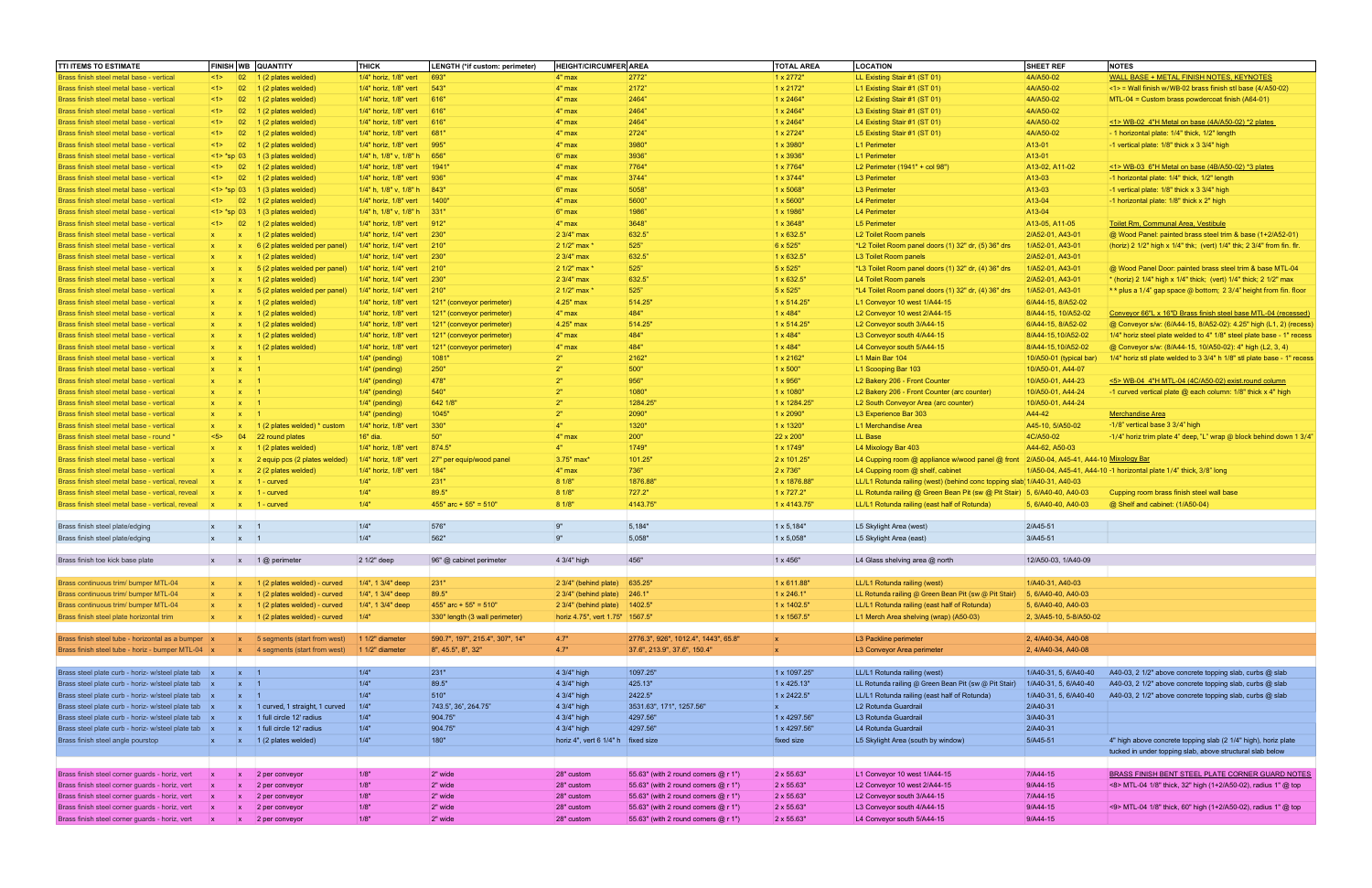| <b>TTI ITEMS TO ESTIMATE</b>                                                                         | FINISH WB QUANTITY           |                                           | <b>THICK</b>                                   | LENGTH (*if custom: perimeter)   | <b>HEIGHT/CIRCUMFER AREA</b>                  |                                      | <b>TOTAL AREA</b>                | <b>LOCATION</b>                                                                                                          | <b>SHEET REF</b>        | <b>NOTES</b>                                                                 |
|------------------------------------------------------------------------------------------------------|------------------------------|-------------------------------------------|------------------------------------------------|----------------------------------|-----------------------------------------------|--------------------------------------|----------------------------------|--------------------------------------------------------------------------------------------------------------------------|-------------------------|------------------------------------------------------------------------------|
| Brass finish steel metal base - vertical                                                             | $ $ <1><br>$ 02\rangle$      | $\vert$ 1 (2 plates welded)               | 1/4" horiz, 1/8" vert                          | 693"                             | $4"$ max                                      | 2772"                                | $1 \times 2772$ "                | LL Existing Stair #1 (ST 01)                                                                                             | 4A/A50-02               | WALL BASE + METAL FINISH NOTES, KEYNOTES                                     |
| Brass finish steel metal base - vertical                                                             | 02 <br>$ $ <1>               | 1 (2 plates welded)                       | 1/4" horiz, 1/8" vert                          | 543"                             | $4"$ max                                      | 2172"                                | 1 x 2172"                        | L1 Existing Stair #1 (ST 01)                                                                                             | 4A/A50-02               | $\leq$ 1> = Wall finish w/WB-02 brass finish stl base (4/A50-02)             |
| Brass finish steel metal base - vertical                                                             | 02 <br> <1>                  | $\vert$ 1 (2 plates welded)               | 1/4" horiz, 1/8" vert 616"                     |                                  | $4"$ max                                      | 2464"                                | 1 x 2464"                        | L2 Existing Stair #1 (ST 01)                                                                                             | 4A/A50-02               | MTL-04 = Custom brass powdercoat finish (A64-01)                             |
| Brass finish steel metal base - vertical                                                             | 02<br>$ $ <1>                | 1 (2 plates welded)                       | 1/4" horiz, 1/8" vert                          | 616"                             | 4" max                                        | 2464"                                | $1 \times 2464$ "                | L3 Existing Stair #1 (ST 01)                                                                                             | 4A/A50-02               |                                                                              |
| Brass finish steel metal base - vertical                                                             | 02 <br> <1>                  | $\vert$ 1 (2 plates welded)               | 1/4" horiz, 1/8" vert                          | 616"                             | $4"$ max                                      | 2464"                                | 1 x 2464"                        | L4 Existing Stair #1 (ST 01)                                                                                             | 4A/A50-02               | <1> WB-02 4"H Metal on base $(4A/450-02)$ *2 plates                          |
| Brass finish steel metal base - vertical                                                             | 02 <br>$ $ <1>               | $\vert$ 1 (2 plates welded)               | 1/4" horiz, 1/8" vert 681"                     |                                  | 4" max                                        | 2724"                                | $1 \times 2724$ "                | L5 Existing Stair #1 (ST 01)                                                                                             | 4A/A50-02               | - 1 horizontal plate: 1/4" thick, 1/2" length                                |
| Brass finish steel metal base - vertical                                                             | 02 <br>$ $ <1>               | $\vert$ 1 (2 plates welded)               | 1/4" horiz, 1/8" vert                          | 995"                             | $4"$ max                                      | 3980"                                | $1 \times 3980$ "                | L1 Perimeter                                                                                                             | A13-01                  | -1 vertical plate: 1/8" thick x 3 3/4" high                                  |
| Brass finish steel metal base - vertical                                                             | $ $ <1> *sp 03               | $\vert$ 1 (3 plates welded)               | $1/4"$ h, 1/8" v, 1/8" h 656"                  |                                  | $6"$ max                                      | 3936"                                | $1 \times 3936$ "                | L1 Perimeter                                                                                                             | A13-01                  |                                                                              |
| Brass finish steel metal base - vertical                                                             | 02 <br>$ $ <1>               | $\vert$ 1 (2 plates welded)               | 1/4" horiz, 1/8" vert                          | 1941"                            | 4" max                                        | 7764"                                | 1 x 7764"                        | L2 Perimeter (1941" + col 98")                                                                                           | A13-02, A11-02          | $\le$ 1> WB-03 6"H Metal on base (4B/A50-02) *3 plates                       |
| Brass finish steel metal base - vertical                                                             | 02 <br>$ $ <1>               | $\vert$ 1 (2 plates welded)               | 1/4" horiz, 1/8" vert                          | 936"                             | $4"$ max                                      | 3744"                                | 1 x 3744"                        | L3 Perimeter                                                                                                             | A13-03                  | -1 horizontal plate: 1/4" thick, 1/2" length                                 |
| Brass finish steel metal base - vertical                                                             | $ $ <1> *sp 03               | $\vert$ 1 (3 plates welded)               | $1/4$ " h, 1/8" v, 1/8" h 843"                 |                                  | $6"$ max                                      | 5058"                                | $1 \times 5068$ "                | L3 Perimeter                                                                                                             | A13-03                  | -1 vertical plate: 1/8" thick x 3 3/4" high                                  |
| Brass finish steel metal base - vertical                                                             | $ $ <1> 02                   | 1 (2 plates welded)                       | 1/4" horiz, 1/8" vert                          | 1400"                            | 4" max                                        | 5600"                                | 1 x 5600"                        | L4 Perimeter                                                                                                             | A13-04                  | -1 horizontal plate: 1/8" thick x 2" high                                    |
| Brass finish steel metal base - vertical                                                             | $ $ <1> *sp 03               | $\vert$ 1 (3 plates welded)               | 1/4" h, $1/8$ " v, $1/8$ " h 331"              |                                  | 6" max                                        | 1986"                                | 1 x 1986"                        | L4 Perimeter                                                                                                             | A13-04                  |                                                                              |
| Brass finish steel metal base - vertical                                                             | 02 <br> <1>                  | $\vert$ 1 (2 plates welded)               | 1/4" horiz, 1/8" vert 912"                     |                                  | $4"$ max                                      | 3648"                                | 1 x 3648"                        | L5 Perimeter                                                                                                             | A13-05, A11-05          | Toilet Rm, Communal Area, Vestibule                                          |
| Brass finish steel metal base - vertical                                                             | $\mathbf{x}$<br>$\mathbf{x}$ | $\vert$ 1 (2 plates welded)               | 1/4" horiz, 1/4" vert 230"                     |                                  | 2 3/4" max                                    | 632.5                                | $1 \times 632.5$ "               | L2 Toilet Room panels                                                                                                    | 2/A52-01, A43-01        | @ Wood Panel: painted brass steel trim & base (1+2/A52-01)                   |
| Brass finish steel metal base - vertical                                                             | $\mathbf{X}$                 | 6 (2 plates welded per panel)             | $1/4"$ horiz, 1/4" vert                        | 210"                             | 2 1/2" max *                                  | 525"                                 | 6 x 525"                         | *L2 Toilet Room panel doors (1) 32" dr, (5) 36" drs                                                                      | 1/A52-01, A43-01        | (horiz) 2 1/2" high x 1/4" thk; (vert) 1/4" thk; 2 3/4" from fin. flr.       |
| Brass finish steel metal base - vertical                                                             | $\mathbf{X}$<br>$\mathbf{x}$ | $\vert$ 1 (2 plates welded)               | 1/4" horiz, 1/4" vert                          | 230"                             | 2 3/4" max                                    | 632.5                                | $1 \times 632.5$ "               | L3 Toilet Room panels                                                                                                    | 2/A52-01, A43-01        |                                                                              |
| Brass finish steel metal base - vertical                                                             | $\mathbf{x}$<br>$\mathbf{X}$ | 5 (2 plates welded per panel)             | $1/4$ " horiz, $1/4$ " vert 210"               |                                  | 2 1/2" max *                                  | 525"                                 | 5 x 525"                         | *L3 Toilet Room panel doors (1) 32" dr, (4) 36" drs                                                                      | 1/A52-01, A43-01        | @ Wood Panel Door: painted brass steel trim & base MTL-04                    |
| Brass finish steel metal base - vertical                                                             | $\mathbf{X}$                 | 1 (2 plates welded)                       | 1/4" horiz, 1/4" vert                          | 230"                             | $23/4$ " max                                  | 632.5                                | $1 \times 632.5$ "               | L4 Toilet Room panels                                                                                                    | 2/A52-01, A43-01        | * (horiz) 2 1/4" high x 1/4" thick; (vert) 1/4" thick; 2 1/2" max            |
| Brass finish steel metal base - vertical                                                             | $\mathbf{X}$<br>$\mathbf{x}$ | 5 (2 plates welded per panel)             | $1/4"$ horiz, 1/4" vert                        | 210"                             | 2 1/2" max *                                  | 525"                                 | 5 x 525"                         | *L4 Toilet Room panel doors (1) 32" dr, (4) 36" drs                                                                      | 1/A52-01, A43-01        | $*$ plus a 1/4" gap space @ bottom; 2 3/4" height from fin. floor            |
| Brass finish steel metal base - vertical                                                             | $\mathbf{x}$<br>$\mathbf{X}$ | $\vert$ 1 (2 plates welded)               | 1/4" horiz, 1/8" vert                          | 121" (conveyor perimeter)        | 4.25" max                                     | 514.25                               | 1 x 514.25"                      | L1 Conveyor 10 west 1/A44-15                                                                                             | 6/A44-15, 8/A52-02      |                                                                              |
| Brass finish steel metal base - vertical                                                             | $\mathbf{X}$                 | 1 (2 plates welded)                       | 1/4" horiz, 1/8" vert                          | 121" (conveyor perimeter)        | $ 4"$ max                                     | 484"                                 | $1 \times 484$ "                 | L2 Conveyor 10 west 2/A44-15                                                                                             | 8/A44-15, 10/A52-02     | Conveyor 66"L x 16"D Brass finish steel base MTL-04 (recessed)               |
| Brass finish steel metal base - vertical                                                             | $\mathbf{X}$<br>$\mathbf{x}$ | $\vert$ 1 (2 plates welded)               | 1/4" horiz, 1/8" vert                          | 121" (conveyor perimeter)        | 4.25" max                                     | 514.25                               | 1 x 514.25"                      | L2 Conveyor south 3/A44-15                                                                                               | 6/A44-15, 8/A52-02      | @ Conveyor s/w: (6/A44-15, 8/A52-02): 4.25" high (L1, 2) (recess)            |
| Brass finish steel metal base - vertical                                                             | $\mathbf{x}$<br>$\mathbf{X}$ | 1 (2 plates welded)                       | 1/4" horiz, 1/8" vert                          | 121" (conveyor perimeter)        | $4"$ max                                      | 484"                                 | 1 x 484"                         | L3 Conveyor south 4/A44-15                                                                                               | 8/A44-15,10/A52-02      | 1/4" horiz steel plate welded to 4" 1/8" steel plate base - 1" recess        |
| Brass finish steel metal base - vertical                                                             | $\mathbf{x}$<br>$\mathbf{x}$ | $\vert$ 1 (2 plates welded)               | 1/4" horiz, 1/8" vert                          | 121" (conveyor perimeter)        | $ 4"$ max                                     | 484"                                 | $1 \times 484$ "                 | L4 Conveyor south 5/A44-15                                                                                               | 8/A44-15,10/A52-02      | @ Conveyor s/w: (8/A44-15, 10/A50-02): 4" high (L2, 3, 4)                    |
| Brass finish steel metal base - vertical                                                             | $\mathbf{x}$<br>$\mathbf{x}$ |                                           | 1/4" (pending)                                 | 1081"                            | 2"                                            | 2162"                                | 1 x 2162"                        | L1 Main Bar 104                                                                                                          | 10/A50-01 (typical bar) | 1/4" horiz stl plate welded to 3 3/4" h 1/8" stl plate base - 1" recess      |
| Brass finish steel metal base - vertical                                                             | $\mathbf{x}$<br>$\mathbf{X}$ |                                           | 1/4" (pending)                                 | 250"                             | 2"                                            | 500"                                 | 1 x 500"                         | L1 Scooping Bar 103                                                                                                      | 10/A50-01, A44-07       |                                                                              |
| Brass finish steel metal base - vertical                                                             | $\mathbf{x}$<br>$\mathbf{x}$ |                                           | 1/4" (pending)                                 | 478"                             | 2"                                            | 956"                                 | 1 x 956"                         | L2 Bakery 206 - Front Counter                                                                                            | 10/A50-01, A44-23       | <5> WB-04 4"H MTL-04 (4C/A50-02) exist.round column                          |
| Brass finish steel metal base - vertical                                                             | $\mathbf{x}$<br>$\mathbf{x}$ |                                           | 1/4" (pending)                                 | 540"                             | 2"                                            | 1080"                                | 1 x 1080"                        | L2 Bakery 206 - Front Counter (arc counter)                                                                              | 10/A50-01, A44-24       | -1 curved vertical plate @ each column: 1/8" thick x 4" high                 |
| Brass finish steel metal base - vertical                                                             | $\mathbf{x}$<br>$\mathbf{X}$ |                                           | 1/4" (pending)                                 | 642 1/8"                         | 2"                                            | 1284.25"                             | 1 x 1284.25'                     | L2 South Conveyor Area (arc counter)                                                                                     | 10/A50-01, A44-24       |                                                                              |
| Brass finish steel metal base - vertical                                                             | $\mathbf{x}$<br>$\mathbf{x}$ |                                           | 1/4" (pending)                                 | 1045"                            | 2"                                            | 2090"                                | $1 \times 2090$ "                | L3 Experience Bar 303                                                                                                    | A44-42                  | <b>Merchandise Area</b>                                                      |
| Brass finish steel metal base - vertical                                                             | $\mathbf{x}$<br>$\mathbf{x}$ | 1 (2 plates welded) * custom              | $1/4"$ horiz, 1/8" vert                        | 330"                             | 4"                                            | 1320"                                | 1 x 1320"                        | L1 Merchandise Area                                                                                                      | A45-10, 5/A50-02        | -1/8" vertical base 3 3/4" high                                              |
| Brass finish steel metal base - round *                                                              | 04 <br>5                     | 22 round plates                           | 16" dia.                                       | 50"<br>874.5                     | $4"$ max<br>4"                                | 200"                                 | 22 x 200"                        | LL Base                                                                                                                  | 4C/A50-02               | -1/4" horiz trim plate 4" deep, "L" wrap @ block behind down 1 3/4"          |
| Brass finish steel metal base - vertical                                                             | $\mathbf{X}$                 | $\vert$ 1 (2 plates welded)               | 1/4" horiz, 1/8" vert                          |                                  | 3.75" max*                                    | 1749"                                | $1 \times 1749$ "<br>2 x 101.25" | L4 Mixology Bar 403                                                                                                      | A44-62, A50-03          |                                                                              |
| Brass finish steel metal base - vertical                                                             | $\mathbf{x}$                 | 2 equip pcs (2 plates welded)             | 1/4" horiz, 1/8" vert<br>1/4" horiz, 1/8" vert | 27" per equip/wood panel<br>184" |                                               | 101.25"                              |                                  | L4 Cupping room @ appliance w/wood panel @ front 2/A50-04, A45-41, A44-10 Mixology Bar                                   |                         |                                                                              |
| Brass finish steel metal base - vertical                                                             | $\mathbf{x}$<br>$\mathbf{x}$ | 2 (2 plates welded)                       |                                                |                                  | $4"$ max                                      | 736"                                 | 2 x 736"<br>1 x 1876.88'         | L4 Cupping room @ shelf, cabinet                                                                                         |                         | 1/A50-04, A45-41, A44-10 -1 horizontal plate 1/4" thick, 3/8" long           |
| Brass finish steel metal base - vertical, reveal<br>Brass finish steel metal base - vertical, reveal | $\mathbf{x}$<br>$\mathbf{x}$ | $1$ - curved<br>$1 -$ curved              | 1/4"<br>1/4"                                   | 231"<br>89.5"                    | 81/8"<br>8 1/8"                               | 1876.88"<br>727.2"                   | 1 x 727.2"                       | LL/L1 Rotunda railing (west) (behind conc topping slab 1/A40-31, A40-03                                                  |                         |                                                                              |
| Brass finish steel metal base - vertical, reveal                                                     | $\mathbf{x}$                 | $\vert x \vert$ 1 - curved                | 1/4"                                           | $455"$ arc + 55" = 510"          | 8 1/8"                                        | 4143.75"                             | 1 x 4143.75"                     | LL Rotunda railing @ Green Bean Pit (sw @ Pit Stair) 5, 6/A40-40, A40-03<br>LL/L1 Rotunda railing (east half of Rotunda) | 5, 6/A40-40, A40-03     | Cupping room brass finish steel wall base<br>@ Shelf and cabinet: (1/A50-04) |
|                                                                                                      |                              |                                           |                                                |                                  |                                               |                                      |                                  |                                                                                                                          |                         |                                                                              |
| Brass finish steel plate/edging                                                                      | $\mathbf{x}$<br>$\mathsf{X}$ |                                           | 1/4"                                           | 576"                             | 9"                                            | 5,184"                               | $1 \times 5,184"$                | L5 Skylight Area (west)                                                                                                  | 2/A45-51                |                                                                              |
| Brass finish steel plate/edging                                                                      | $x \times 1$                 |                                           | 1/4"                                           | 562"                             | $\vert 9"$                                    | 5,058"                               | $1 \times 5,058"$                | L5 Skylight Area (east)                                                                                                  | 3/A45-51                |                                                                              |
|                                                                                                      |                              |                                           |                                                |                                  |                                               |                                      |                                  |                                                                                                                          |                         |                                                                              |
| Brass finish toe kick base plate                                                                     |                              | $x \times 10$ perimeter                   | 2 1/2" deep                                    | 96" @ cabinet perimeter          | 4 3/4" high                                   | 456"                                 | $1 \times 456"$                  | L4 Glass shelving area @ north                                                                                           | 12/A50-03, 1/A40-09     |                                                                              |
|                                                                                                      |                              |                                           |                                                |                                  |                                               |                                      |                                  |                                                                                                                          |                         |                                                                              |
| Brass continuous trim/ bumper MTL-04                                                                 | $\mathbf{x}$ $\mathbf{x}$    | 1 (2 plates welded) - curved              | 1/4", 1 3/4" deep                              | 231"                             | 2 3/4" (behind plate) 635.25"                 |                                      | $1 \times 611.88$ "              | LL/L1 Rotunda railing (west)                                                                                             | 1/A40-31, A40-03        |                                                                              |
| Brass continuous trim/ bumper MTL-04                                                                 | $\mathbf{x}$                 | (2 plates welded) - curved                | 1/4", 1 3/4" deep                              | 89.5"                            | 2 3/4" (behind plate) 246.1"                  |                                      | $1 \times 246.1$ "               | LL Rotunda railing @ Green Bean Pit (sw @ Pit Stair)                                                                     | 5, 6/A40-40, A40-03     |                                                                              |
| Brass continuous trim/ bumper MTL-04                                                                 | $\mathbf{x}$                 | 1 (2 plates welded) - curved              | $1/4$ ", 1 3/4" deep                           | 455" arc + 55" = 510"            | 2 3/4" (behind plate) 1402.5"                 |                                      | $1 \times 1402.5$ "              | LL/L1 Rotunda railing (east half of Rotunda)                                                                             | 5, 6/A40-40, A40-03     |                                                                              |
| Brass finish steel plate horizontal trim                                                             | $\mathbf{x}$<br>$\mathbf{x}$ | 1 (2 plates welded) - curved              | 1/4"                                           | 330" length (3 wall perimeter)   | horiz 4.75", vert 1.75" 1567.5"               |                                      | $1 \times 1567.5$ "              | L1 Merch Area shelving (wrap) (A50-03)                                                                                   | 2, 3/A45-10, 5-8/A50-02 |                                                                              |
|                                                                                                      |                              |                                           |                                                |                                  |                                               |                                      |                                  |                                                                                                                          |                         |                                                                              |
| Brass finish steel tube - horizontal as a bumper x                                                   |                              | $x$ 5 segments (start from west)          | 1 1/2" diameter                                | 590.7", 197", 215.4", 307", 14"  | 4.7"                                          | 2776.3", 926", 1012.4", 1443", 65.8" | $\mathbf{x}$                     | L3 Packline perimeter                                                                                                    | 2, 4/A40-34, A40-08     |                                                                              |
| Brass finish steel tube - horiz - bumper MTL-04 x                                                    |                              | $\mathsf{x}$ 4 segments (start from west) | $11/2$ " diameter                              | 8", 45.5", 8", 32"               | 4.7"                                          | 37.6", 213.9", 37.6", 150.4"         | $\mathbf{x}$                     | L3 Conveyor Area perimeter                                                                                               | 2, 4/A40-34, A40-08     |                                                                              |
|                                                                                                      |                              |                                           |                                                |                                  |                                               |                                      |                                  |                                                                                                                          |                         |                                                                              |
| Brass steel plate curb - horiz- w/steel plate tab x                                                  | $\vert x \vert$ 1            |                                           | 1/4"                                           | 231"                             | 4 3/4" high                                   | 1097.25"                             | 1 x 1097.25"                     | LL/L1 Rotunda railing (west)                                                                                             | 1/A40-31, 5, 6/A40-40   | A40-03, 2 1/2" above concrete topping slab, curbs @ slab                     |
| Brass steel plate curb - horiz- w/steel plate tab x                                                  | $x \neq 1$                   |                                           | 1/4"                                           | 89.5"                            | $ 4 \frac{3}{4}$ " high                       | 425.13"                              | $1 \times 425.13"$               | LL Rotunda railing @ Green Bean Pit (sw @ Pit Stair)                                                                     | 1/A40-31, 5, 6/A40-40   | A40-03, 2 1/2" above concrete topping slab, curbs @ slab                     |
| Brass steel plate curb - horiz- w/steel plate tab x                                                  | $\vert x \vert$ 1            |                                           | 1/4"                                           | 510"                             | $ 4 \frac{3}{4}$ " high                       | 2422.5"                              | 1 x 2422.5"                      | LL/L1 Rotunda railing (east half of Rotunda)                                                                             | 1/A40-31, 5, 6/A40-40   | A40-03, 2 1/2" above concrete topping slab, curbs @ slab                     |
| Brass steel plate curb - horiz- w/steel plate tab x                                                  |                              | $x$   1 curved, 1 straight, 1 curved      | 1/4"                                           | 743.5", 36", 264.75"             | 4 3/4" high                                   | 3531.63", 171", 1257.56"             | $\mathbf{x}$                     | L2 Rotunda Guardrail                                                                                                     | 2/A40-31                |                                                                              |
| Brass steel plate curb - horiz- w/steel plate tab x                                                  | $\mathbf{x}$                 | 1 full circle 12' radius                  | 1/4"                                           | 904.75"                          | $ 4 \frac{3}{4}$ " high                       | 4297.56"                             | 1 x 4297.56"                     | L3 Rotunda Guardrail                                                                                                     | 3/A40-31                |                                                                              |
| Brass steel plate curb - horiz- w/steel plate tab x                                                  | $\mathbf{x}$                 | 1 full circle 12' radius                  | 1/4"                                           | 904.75"                          | $ 4 \frac{3}{4}$ " high                       | 4297.56"                             | 1 x 4297.56"                     | L4 Rotunda Guardrail                                                                                                     | 2/A40-31                |                                                                              |
| Brass finish steel angle pourstop                                                                    | $\mathbf{x}$<br>$\mathbf{x}$ | $\vert$ 1 (2 plates welded)               | 1/4"                                           | 180"                             | horiz 4", vert $6 \frac{1}{4}$ " h fixed size |                                      | fixed size                       | L5 Skylight Area (south by window)                                                                                       | 5/A45-51                | 4" high above concrete topping slab (2 1/4" high), horiz plate               |
|                                                                                                      |                              |                                           |                                                |                                  |                                               |                                      |                                  |                                                                                                                          |                         | tucked in under topping slab, above structural slab below                    |
|                                                                                                      |                              |                                           |                                                |                                  |                                               |                                      |                                  |                                                                                                                          |                         |                                                                              |
| Brass finish steel corner guards - horiz, vert                                                       | $\mathsf{X}$                 | 2 per conveyor                            | 1/8"                                           | 2" wide                          | 28" custom                                    | 55.63" (with 2 round corners @ r 1") | 2 x 55.63"                       | L1 Conveyor 10 west 1/A44-15                                                                                             | 7/A44-15                | BRASS FINISH BENT STEEL PLATE CORNER GUARD NOTES                             |
| Brass finish steel corner guards - horiz, vert                                                       | $\mathbf{x}$                 | 2 per conveyor                            | 1/8"                                           | 2" wide                          | 28" custom                                    | 55.63" (with 2 round corners @ r 1") | 2 x 55.63"                       | L2 Conveyor 10 west 2/A44-15                                                                                             | 9/A44-15                | <8> MTL-04 1/8" thick, 32" high (1+2/A50-02), radius 1" @ top                |
| Brass finish steel corner guards - horiz, vert                                                       | $\mathbf{x}$                 | 2 per conveyor                            | 1/8"                                           | 2" wide                          | 28" custom                                    | 55.63" (with 2 round corners @ r 1") | 2 x 55.63"                       | L2 Conveyor south 3/A44-15                                                                                               | 7/A44-15                |                                                                              |
| Brass finish steel corner guards - horiz, vert                                                       | $\mathbf{x}$                 | 2 per conveyor                            | 1/8"                                           | 2" wide                          | 28" custom                                    | 55.63" (with 2 round corners @ r 1") | 2 x 55.63"                       | L3 Conveyor south 4/A44-15                                                                                               | 9/A44-15                | <9> MTL-04 1/8" thick, 60" high (1+2/A50-02), radius 1" @ top                |
| Brass finish steel corner guards - horiz, vert                                                       | $\mathbf{x}$<br>$\mathbf{x}$ | 2 per conveyor                            | 1/8"                                           | 2" wide                          | 28" custom                                    | 55.63" (with 2 round corners @ r 1") | 2 x 55.63"                       | L4 Conveyor south 5/A44-15                                                                                               | 9/A44-15                |                                                                              |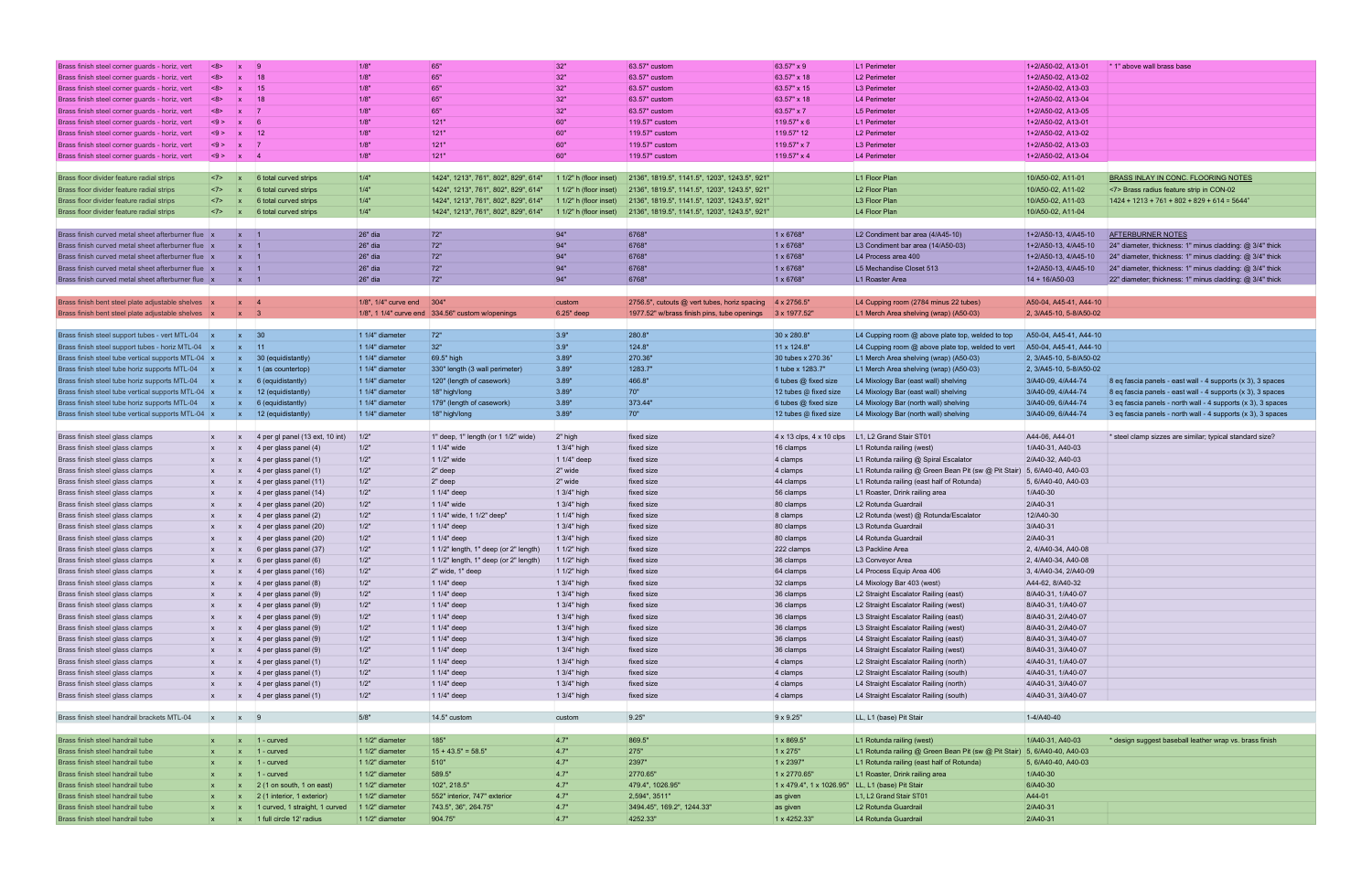| Brass finish steel corner guards - horiz, vert                       | <8>                     | - 9<br>$\mathbf{x}$                                                                        | 1/8"                      | 65"                                              | 32"                            | 63.57" custom                                 | 63.57" x 9                                       | L1 Perimeter                                                             | 1+2/A50-02, A13-01      | * 1" above wall brass base                                   |
|----------------------------------------------------------------------|-------------------------|--------------------------------------------------------------------------------------------|---------------------------|--------------------------------------------------|--------------------------------|-----------------------------------------------|--------------------------------------------------|--------------------------------------------------------------------------|-------------------------|--------------------------------------------------------------|
| Brass finish steel corner guards - horiz, vert                       | <8>                     | 18<br>$\mathbf{x}$                                                                         | 1/8"                      | 65"                                              | 32"                            | 63.57" custom                                 | 63.57" x 18                                      | L2 Perimeter                                                             | 1+2/A50-02, A13-02      |                                                              |
| Brass finish steel corner guards - horiz, vert                       | $ $ <8>                 | 15<br>$\mathbf{x}$                                                                         | 1/8"                      | 65"                                              | 32"                            | 63.57" custom                                 | 63.57" x 15                                      | L3 Perimeter                                                             | 1+2/A50-02, A13-03      |                                                              |
| Brass finish steel corner guards - horiz, vert                       | <8>                     | 18<br>$\mathbf{x}$                                                                         | 1/8"                      | 65"                                              | 32"                            | 63.57" custom                                 | 63.57" x 18                                      | L4 Perimeter                                                             | 1+2/A50-02, A13-04      |                                                              |
|                                                                      | <8>                     | $\overline{7}$<br>$\mathbf{x}$                                                             | 1/8"                      | 65"                                              | 32"                            | 63.57" custom                                 | 63.57" x 7                                       | L5 Perimeter                                                             | 1+2/A50-02, A13-05      |                                                              |
| Brass finish steel corner guards - horiz, vert                       |                         |                                                                                            |                           |                                                  |                                |                                               |                                                  |                                                                          |                         |                                                              |
| Brass finish steel corner guards - horiz, vert                       | <9>                     | 6<br>$\mathbf{x}$                                                                          | 1/8"                      | 121"                                             | 60"                            | 119.57" custom                                | 119.57" x 6                                      | L1 Perimeter                                                             | 1+2/A50-02, A13-01      |                                                              |
| Brass finish steel corner guards - horiz, vert                       | <9>                     | $ 12\rangle$<br>$\mathbf{x}$                                                               | 1/8"                      | 121"                                             | 60"                            | 119.57" custom                                | 119.57" 12                                       | L2 Perimeter                                                             | 1+2/A50-02, A13-02      |                                                              |
| Brass finish steel corner guards - horiz, vert                       | < 9 >                   | $\overline{7}$<br>$\mathbf{x}$                                                             | 1/8"                      | 121"                                             | 60"                            | 119.57" custom                                | 119.57" x 7                                      | L3 Perimeter                                                             | 1+2/A50-02, A13-03      |                                                              |
| Brass finish steel corner guards - horiz, vert                       | <9>                     | $x \mid 4$                                                                                 | 1/8"                      | 121"                                             | 60"                            | 119.57" custom                                | 119.57" x 4                                      | L4 Perimeter                                                             | 1+2/A50-02, A13-04      |                                                              |
|                                                                      |                         |                                                                                            |                           |                                                  |                                |                                               |                                                  |                                                                          |                         |                                                              |
| Brass floor divider feature radial strips                            | $ $ <7><br>$\mathbf{x}$ | 6 total curved strips                                                                      | 1/4"                      | 1424", 1213", 761", 802", 829", 614"             | $11/2$ " h (floor inset)       | 2136", 1819.5", 1141.5", 1203", 1243.5", 921" |                                                  | L1 Floor Plan                                                            | 10/A50-02, A11-01       | BRASS INLAY IN CONC. FLOORING NOTES                          |
| Brass floor divider feature radial strips                            | $ $ <7><br>$\mathbf{x}$ | 6 total curved strips                                                                      | 1/4"                      | 1424", 1213", 761", 802", 829", 614"             | $\vert$ 1 1/2" h (floor inset) | 2136", 1819.5", 1141.5", 1203", 1243.5", 921" |                                                  | L <sub>2</sub> Floor Plan                                                | 10/A50-02, A11-02       | <7> Brass radius feature strip in CON-02                     |
| Brass floor divider feature radial strips                            | <7><br>$\mathbf{x}$     | 6 total curved strips                                                                      | 1/4"                      | 1424", 1213", 761", 802", 829", 614"             | $\vert$ 1 1/2" h (floor inset) | 2136", 1819.5", 1141.5", 1203", 1243.5", 921" |                                                  | L3 Floor Plan                                                            | 10/A50-02, A11-03       | $1424 + 1213 + 761 + 802 + 829 + 614 = 5644$ "               |
| Brass floor divider feature radial strips                            | <7>                     | 6 total curved strips<br>$\mathbf{x}$                                                      | 1/4"                      | 1424", 1213", 761", 802", 829", 614"             | $1/2$ " h (floor inset)        | 2136", 1819.5", 1141.5", 1203", 1243.5", 921" |                                                  | L4 Floor Plan                                                            | 10/A50-02, A11-04       |                                                              |
|                                                                      |                         |                                                                                            |                           |                                                  |                                |                                               |                                                  |                                                                          |                         |                                                              |
| Brass finish curved metal sheet afterburner flue x                   |                         | $\vert x \vert$ 1                                                                          | 26" dia                   | 72"                                              | 94"                            | 6768"                                         | 1 x 6768"                                        | L2 Condiment bar area (4/A45-10)                                         | 1+2/A50-13, 4/A45-10    | <b>AFTERBURNER NOTES</b>                                     |
| Brass finish curved metal sheet afterburner flue                     |                         | $\blacksquare$ 1                                                                           | 26" dia                   | 72"                                              | 94"                            | 6768"                                         | 1 x 6768"                                        | L3 Condiment bar area (14/A50-03)                                        | 1+2/A50-13, 4/A45-10    | 24" diameter, thickness: 1" minus cladding: @ 3/4" thick     |
| Brass finish curved metal sheet afterburner flue x                   |                         | $\vert x \vert$ 1                                                                          | 26" dia                   | 72"                                              | 94"                            | 6768"                                         | 1 x 6768"                                        | L4 Process area 400                                                      | 1+2/A50-13, 4/A45-10    | 24" diameter, thickness: 1" minus cladding: @ 3/4" thick     |
| Brass finish curved metal sheet afterburner flue                     |                         | $\vert x \vert$ 1                                                                          | 26" dia                   | 72"                                              | 94"                            | 6768"                                         | 1 x 6768"                                        | L5 Mechandise Closet 513                                                 | 1+2/A50-13, 4/A45-10    | 24" diameter, thickness: 1" minus cladding: @ 3/4" thick     |
| Brass finish curved metal sheet afterburner flue x                   |                         | $\vert x \vert$ 1                                                                          | 26" dia                   | 72"                                              | 94"                            | 6768"                                         | 1 x 6768"                                        | L1 Roaster Area                                                          | $14 + 16/A50-03$        | 22" diameter; thickness: 1" minus cladding: @ 3/4" thick     |
|                                                                      |                         |                                                                                            |                           |                                                  |                                |                                               |                                                  |                                                                          |                         |                                                              |
| Brass finish bent steel plate adjustable shelves x                   |                         | $\vert x \vert$ 4                                                                          | 1/8", 1/4" curve end 304" |                                                  | custom                         | 2756.5", cutouts @ vert tubes, horiz spacing  | $4 \times 2756.5$ "                              | L4 Cupping room (2784 minus 22 tubes)                                    | A50-04, A45-41, A44-10  |                                                              |
| Brass finish bent steel plate adjustable shelves x                   |                         | $\vert x \vert$ 3                                                                          |                           | 1/8", 1 1/4" curve end 334.56" custom w/openings | $6.25"$ deep                   | 1977.52" w/brass finish pins, tube openings   | $3 \times 1977.52$ "                             | L1 Merch Area shelving (wrap) (A50-03)                                   | 2, 3/A45-10, 5-8/A50-02 |                                                              |
|                                                                      |                         |                                                                                            |                           |                                                  |                                |                                               |                                                  |                                                                          |                         |                                                              |
| Brass finish steel support tubes - vert MTL-04                       |                         | $x \quad 30$                                                                               | 1 1/4" diameter           | 72"                                              | 3.9"                           | 280.8"                                        | 30 x 280.8"                                      | L4 Cupping room @ above plate top, welded to top                         | A50-04, A45-41, A44-10  |                                                              |
| Brass finish steel support tubes - horiz MTL-04 x                    |                         | $x = 11$                                                                                   | 1 1/4" diameter           | 32"                                              | 3.9"                           | 124.8"                                        | 11 x 124.8"                                      | L4 Cupping room @ above plate top, welded to vert                        | A50-04, A45-41, A44-10  |                                                              |
| Brass finish steel tube vertical supports MTL-04 x                   |                         | $\vert x \vert$ 30 (equidistantly)                                                         | 1 1/4" diameter           | 69.5" high                                       | 3.89"                          | 270.36"                                       | 30 tubes x 270.36"                               | L1 Merch Area shelving (wrap) (A50-03)                                   | 2, 3/A45-10, 5-8/A50-02 |                                                              |
| Brass finish steel tube horiz supports MTL-04 x                      |                         | $\vert$ 1 (as countertop)<br>$\mathbf{x}$                                                  | 1 1/4" diameter           | 330" length (3 wall perimeter)                   | 3.89"                          | 1283.7"                                       | 1 tube x 1283.7"                                 | L1 Merch Area shelving (wrap) (A50-03)                                   | 2, 3/A45-10, 5-8/A50-02 |                                                              |
| Brass finish steel tube horiz supports MTL-04 x                      |                         | $6$ (equidistantly)                                                                        | 1 1/4" diameter           | 120" (length of casework)                        | 3.89"                          | 466.8"                                        | 6 tubes @ fixed size                             | L4 Mixology Bar (east wall) shelving                                     | 3/A40-09, 4/A44-74      | 8 eq fascia panels - east wall - 4 supports (x 3), 3 spaces  |
| Brass finish steel tube vertical supports MTL-04 x                   |                         | 12 (equidistantly)                                                                         | 1 1/4" diameter           | 18" high/long                                    | 3.89"                          | 70"                                           | 12 tubes @ fixed size                            | L4 Mixology Bar (east wall) shelving                                     | 3/A40-09, 4/A44-74      | 8 eq fascia panels - east wall - 4 supports (x 3), 3 spaces  |
| Brass finish steel tube horiz supports MTL-04 x                      |                         | $6$ (equidistantly)                                                                        | 1 1/4" diameter           | 179" (length of casework)                        | 3.89"                          | 373.44"                                       | 6 tubes @ fixed size                             | L4 Mixology Bar (north wall) shelving                                    | 3/A40-09, 6/A44-74      | 3 eq fascia panels - north wall - 4 supports (x 3), 3 spaces |
| Brass finish steel tube vertical supports MTL-04 x                   |                         | 12 (equidistantly)<br>$\mathbf{x}$                                                         | 1 1/4" diameter           | 18" high/long                                    | 3.89"                          | 70"                                           | 12 tubes @ fixed size                            | L4 Mixology Bar (north wall) shelving                                    | 3/A40-09, 6/A44-74      |                                                              |
|                                                                      |                         |                                                                                            |                           |                                                  |                                |                                               |                                                  |                                                                          |                         | 3 eq fascia panels - north wall - 4 supports (x 3), 3 spaces |
|                                                                      |                         |                                                                                            |                           |                                                  |                                |                                               |                                                  |                                                                          |                         |                                                              |
| Brass finish steel glass clamps                                      | $\mathsf{X}$            | 4 per gl panel (13 ext, 10 int)                                                            | 1/2"                      | 1" deep, 1" length (or 1 1/2" wide)              | 2" high                        | fixed size                                    |                                                  | $4 \times 13$ clps, $4 \times 10$ clps L1, L2 Grand Stair ST01           | A44-06, A44-01          | * steel clamp sizzes are similar; typical standard size?     |
|                                                                      |                         |                                                                                            |                           |                                                  |                                |                                               |                                                  |                                                                          |                         |                                                              |
| Brass finish steel glass clamps                                      | $\mathsf{X}$            | 4 per glass panel (4)                                                                      | 1/2"                      | 1 1/4" wide                                      | 1 3/4" high                    | fixed size                                    | 16 clamps                                        | L1 Rotunda railing (west)                                                | 1/A40-31, A40-03        |                                                              |
| Brass finish steel glass clamps                                      | $\mathsf{x}$            | 4 per glass panel (1)<br>$\mathbf{x}$                                                      | 1/2"                      | 1 1/2" wide                                      | 1 1/4" deep                    | fixed size                                    | 4 clamps                                         | L1 Rotunda railing @ Spiral Escalator                                    | 2/A40-32, A40-03        |                                                              |
| Brass finish steel glass clamps                                      | $\mathsf{X}$            | 4 per glass panel (1)                                                                      | 1/2"                      | 2" deep                                          | $2"$ wide                      | fixed size                                    | 4 clamps                                         | L1 Rotunda railing @ Green Bean Pit (sw @ Pit Stair) 5, 6/A40-40, A40-03 |                         |                                                              |
| Brass finish steel glass clamps                                      | $\mathsf{X}$            | 4 per glass panel (11)                                                                     | 1/2"                      | 2" deep                                          | 2" wide                        | fixed size                                    | 44 clamps                                        | L1 Rotunda railing (east half of Rotunda)                                | 5, 6/A40-40, A40-03     |                                                              |
| Brass finish steel glass clamps                                      | $\mathsf{X}$            | 4 per glass panel (14)                                                                     | 1/2"                      | 1 1/4" deep                                      | 1 3/4" high                    | fixed size                                    | 56 clamps                                        | L1 Roaster, Drink railing area                                           | 1/A40-30                |                                                              |
| Brass finish steel glass clamps                                      | $\mathsf{X}$            | 4 per glass panel (20)                                                                     | 1/2"                      | 1 1/4" wide                                      | 1 3/4" high                    | fixed size                                    | 80 clamps                                        | L2 Rotunda Guardrail                                                     | 2/A40-31                |                                                              |
| Brass finish steel glass clamps                                      | $\mathsf{X}$            | 4 per glass panel (2)                                                                      | 1/2"                      | 1 1/4" wide, 1 1/2" deep"                        | $11/4"$ high                   | fixed size                                    | 8 clamps                                         | L2 Rotunda (west) @ Rotunda/Escalator                                    | 12/A40-30               |                                                              |
| Brass finish steel glass clamps                                      | $\mathsf{X}$            | 4 per glass panel (20)<br>$\mathbf{x}$                                                     | 1/2"                      | 1 1/4" deep                                      | 1 3/4" high                    | fixed size                                    | 80 clamps                                        | L3 Rotunda Guardrail                                                     | 3/A40-31                |                                                              |
| Brass finish steel glass clamps                                      |                         | 4 per glass panel (20)                                                                     | 1/2"                      | 1 1/4" deep                                      | 1 3/4" high                    | fixed size                                    | 80 clamps                                        | L4 Rotunda Guardrail                                                     | 2/A40-31                |                                                              |
| Brass finish steel glass clamps                                      | $\mathsf{X}$            | 6 per glass panel (37)                                                                     | 1/2"                      | 1 1/2" length, 1" deep (or 2" length)            | $11/2$ " high                  | fixed size                                    | 222 clamps                                       | L3 Packline Area                                                         | 2, 4/A40-34, A40-08     |                                                              |
| Brass finish steel glass clamps                                      | $\mathsf{X}$            | 6 per glass panel (6)<br> X                                                                | 1/2"                      | 1 1/2" length, 1" deep (or 2" length)            | 1 1/2" high                    | fixed size                                    | 36 clamps                                        | L3 Conveyor Area                                                         | 2, 4/A40-34, A40-08     |                                                              |
| Brass finish steel glass clamps                                      | $\mathsf{X}$            | $ 4$ per glass panel (16)<br>$\mathbf{x}$                                                  | 1/2"                      | 2" wide, 1" deep                                 | $11/2$ " high                  | fixed size                                    | 64 clamps                                        | L4 Process Equip Area 406                                                | 3, 4/A40-34, 2/A40-09   |                                                              |
| Brass finish steel glass clamps                                      |                         | 4 per glass panel (8)                                                                      | 1/2"                      | 1 1/4" deep                                      | 1 3/4" high                    | fixed size                                    | 32 clamps                                        | L4 Mixology Bar 403 (west)                                               | A44-62, 8/A40-32        |                                                              |
| Brass finish steel glass clamps                                      | <b>X</b>                | 4 per glass panel (9)                                                                      | 1/2"                      | 1 1/4" deep                                      | 1 3/4" high                    | fixed size                                    | 36 clamps                                        | L2 Straight Escalator Railing (east)                                     | 8/A40-31, 1/A40-07      |                                                              |
| Brass finish steel glass clamps                                      | $\mathsf{x}$            | 4 per glass panel (9)                                                                      | 1/2"                      | 1 1/4" deep                                      | 1 3/4" high                    | fixed size                                    | 36 clamps                                        | L2 Straight Escalator Railing (west)                                     | 8/A40-31, 1/A40-07      |                                                              |
| Brass finish steel glass clamps                                      | $\mathsf{X}$            | 4 per glass panel (9)                                                                      | 1/2"                      | 1 1/4" deep                                      | 1 3/4" high                    | fixed size                                    | 36 clamps                                        | L3 Straight Escalator Railing (east)                                     | 8/A40-31, 2/A40-07      |                                                              |
| Brass finish steel glass clamps                                      | $\mathsf{x}$            | 4 per glass panel (9)                                                                      | 1/2"                      | 1 1/4" deep                                      | 1 3/4" high                    | fixed size                                    | 36 clamps                                        | L3 Straight Escalator Railing (west)                                     | 8/A40-31, 2/A40-07      |                                                              |
| Brass finish steel glass clamps                                      | $\mathsf{x}$            | 4 per glass panel (9)                                                                      | 1/2"                      | 1 1/4" deep                                      | 1 3/4" high                    | fixed size                                    | 36 clamps                                        | L4 Straight Escalator Railing (east)                                     | 8/A40-31, 3/A40-07      |                                                              |
| Brass finish steel glass clamps                                      | $\mathsf{X}$            | 4 per glass panel (9)                                                                      | $1/2"$                    | 1 1/4" deep                                      | 1 3/4" high                    | fixed size                                    | 36 clamps                                        | L4 Straight Escalator Railing (west)                                     | 8/A40-31, 3/A40-07      |                                                              |
| Brass finish steel glass clamps                                      | <b>X</b>                | 4 per glass panel (1)                                                                      | 1/2"                      | 1 1/4" deep                                      | 1 3/4" high                    | fixed size                                    | $ 4$ clamps                                      | L2 Straight Escalator Railing (north)                                    | 4/A40-31, 1/A40-07      |                                                              |
| Brass finish steel glass clamps                                      | $\mathsf{x}$            | 4 per glass panel (1)                                                                      | 1/2"                      | 1 1/4" deep                                      | 1 3/4" high                    | fixed size                                    | $ 4$ clamps                                      | L2 Straight Escalator Railing (south)                                    | 4/A40-31, 1/A40-07      |                                                              |
| Brass finish steel glass clamps                                      | $\mathsf{x}$            | 4 per glass panel (1)                                                                      | 1/2"                      | 1 1/4" deep                                      | 1 3/4" high                    | fixed size                                    | 4 clamps                                         | L4 Straight Escalator Railing (north)                                    | 4/A40-31, 3/A40-07      |                                                              |
| Brass finish steel glass clamps                                      | $\mathsf{X}$            | 4 per glass panel (1)<br>$\mathbf{x}$                                                      | 1/2"                      | 1 1/4" deep                                      | 1 3/4" high                    | fixed size                                    | 4 clamps                                         | L4 Straight Escalator Railing (south)                                    | 4/A40-31, 3/A40-07      |                                                              |
|                                                                      |                         |                                                                                            |                           |                                                  |                                |                                               |                                                  |                                                                          |                         |                                                              |
|                                                                      | $\mathbf{x}$            | $x \quad 9$                                                                                |                           |                                                  |                                |                                               |                                                  |                                                                          |                         |                                                              |
| Brass finish steel handrail brackets MTL-04                          |                         |                                                                                            | 5/8"                      | 14.5" custom                                     | custom                         | 9.25"                                         | 9 x 9.25"                                        | LL, L1 (base) Pit Stair                                                  | 1-4/A40-40              |                                                              |
|                                                                      |                         |                                                                                            |                           |                                                  |                                |                                               |                                                  |                                                                          |                         |                                                              |
| Brass finish steel handrail tube                                     |                         | $\vert x \vert$ 1 - curved                                                                 | 1 1/2" diameter           | 185"                                             | 4.7"                           | 869.5"                                        | 1 x 869.5"                                       | L1 Rotunda railing (west)                                                | 1/A40-31, A40-03        | * design suggest baseball leather wrap vs. brass finish      |
| Brass finish steel handrail tube                                     |                         | $1$ - curved                                                                               | 1 1/2" diameter           | $15 + 43.5$ " = 58.5"                            | 4.7"                           | 275"                                          | 1 x 275"                                         | L1 Rotunda railing @ Green Bean Pit (sw @ Pit Stair) 5, 6/A40-40, A40-03 |                         |                                                              |
| Brass finish steel handrail tube                                     | $\mathbf{x}$            | $1$ - curved<br>$\mathbf{x}$                                                               | 1 1/2" diameter           | 510"                                             | 4.7"                           | 2397"                                         | 1 x 2397"                                        | L1 Rotunda railing (east half of Rotunda)                                | 5, 6/A40-40, A40-03     |                                                              |
| Brass finish steel handrail tube                                     |                         | $1$ - curved                                                                               | 1 1/2" diameter           | 589.5"                                           | 4.7"                           | 2770.65"                                      | 1 x 2770.65"                                     | L1 Roaster, Drink railing area                                           | 1/A40-30                |                                                              |
| Brass finish steel handrail tube                                     |                         | $\vert$ 2 (1 on south, 1 on east)                                                          | 1 1/2" diameter           | 102", 218.5"                                     | 4.7"                           | 479.4", 1026.95"                              | 1 x 479.4", 1 x 1026.95" LL, L1 (base) Pit Stair |                                                                          | 6/A40-30                |                                                              |
| Brass finish steel handrail tube                                     | $\mathsf{x}$            | $2(1$ interior, 1 exterior)                                                                | 1 1/2" diameter           | 552" interior, 747" exterior                     | 4.7"                           | 2,594", 3511"                                 | as given                                         | L1, L2 Grand Stair ST01                                                  | A44-01                  |                                                              |
| Brass finish steel handrail tube<br>Brass finish steel handrail tube | <b>X</b>                | 1 curved, 1 straight, 1 curved 1 1/2" diameter<br>1 full circle 12' radius<br>$\mathsf{X}$ | 1 1/2" diameter           | 743.5", 36", 264.75"<br>904.75"                  | 4.7"<br> 4.7"                  | 3494.45", 169.2", 1244.33"<br>4252.33"        | as given<br>1 x 4252.33"                         | L2 Rotunda Guardrail<br>L4 Rotunda Guardrail                             | 2/A40-31<br>2/A40-31    |                                                              |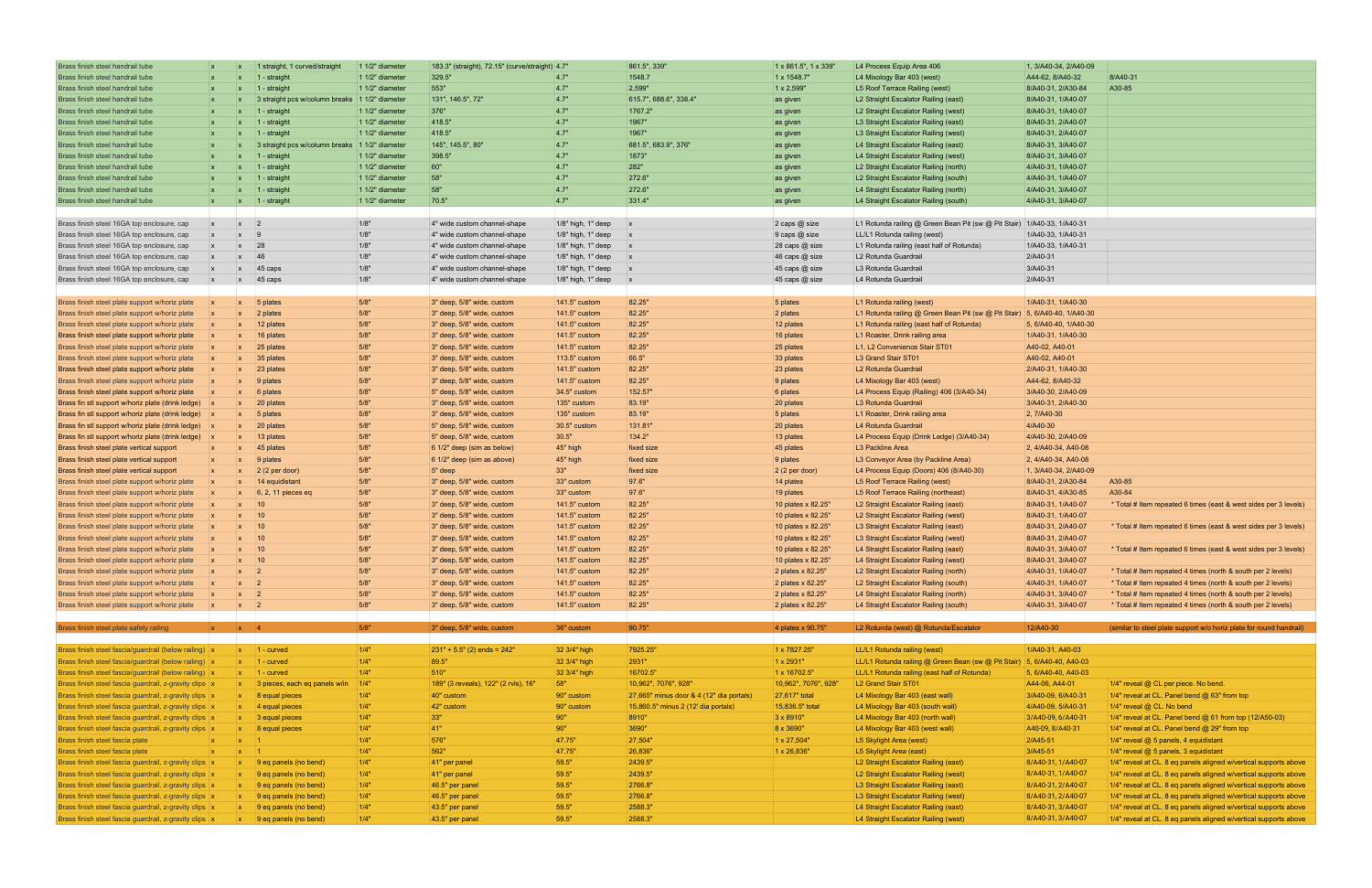| Brass finish steel handrail tube                                                                                   | $\mathbf{x}$ | $\mathbf{x}$                 | 1 straight, 1 curved/straight                              | 1 1/2" diameter   | 183.3" (straight), 72.15" (curve/straight) 4.7" |                                       | 861.5", 339"                             | $1 \times 861.5$ ", 1 $\times$ 339" | L4 Process Equip Area 406                                                    | 1, 3/A40-34, 2/A40-09                    |                                                                                                                                      |
|--------------------------------------------------------------------------------------------------------------------|--------------|------------------------------|------------------------------------------------------------|-------------------|-------------------------------------------------|---------------------------------------|------------------------------------------|-------------------------------------|------------------------------------------------------------------------------|------------------------------------------|--------------------------------------------------------------------------------------------------------------------------------------|
| Brass finish steel handrail tube                                                                                   | $\mathbf{X}$ |                              | 1 - straight                                               | 1 1/2" diameter   | 329.5"                                          | 4.7"                                  | 1548.7                                   | 1 x 1548.7"                         | L4 Mixology Bar 403 (west)                                                   | A44-62, 8/A40-32                         | 8/A40-31                                                                                                                             |
| Brass finish steel handrail tube                                                                                   | $\mathbf{x}$ | $\mathbf{x}$                 | $ 1 -$ straight                                            | 1 1/2" diameter   | 553"                                            | 4.7"                                  | 2,599"                                   | 1 x 2,599"                          | L5 Roof Terrace Railing (west)                                               | 8/A40-31, 2/A30-84                       | A30-85                                                                                                                               |
| Brass finish steel handrail tube                                                                                   | $\mathbf{x}$ |                              | 3 straight pcs w/column breaks 1 1/2" diameter             |                   | 131", 146.5", 72"                               | 4.7"                                  | 615.7", 688.6", 338.4"                   | as given                            | L2 Straight Escalator Railing (east)                                         | 8/A40-31, 1/A40-07                       |                                                                                                                                      |
| Brass finish steel handrail tube                                                                                   | $\mathsf{X}$ | $\mathbf{x}$                 | $\vert$ 1 - straight                                       | 1 1/2" diameter   | 376"                                            | 4.7"                                  | 1767.2"                                  | as given                            | L2 Straight Escalator Railing (west)                                         | 8/A40-31, 1/A40-07                       |                                                                                                                                      |
| Brass finish steel handrail tube                                                                                   | $\mathbf{x}$ | $\mathbf{x}$                 | $1 -$ straight                                             | $11/2$ " diameter | 418.5"                                          | 4.7"                                  | 1967"                                    | as given                            | L3 Straight Escalator Railing (east)                                         | 8/A40-31, 2/A40-07                       |                                                                                                                                      |
| Brass finish steel handrail tube                                                                                   | $\mathbf{x}$ | $\mathbf{x}$                 | ∣1 - straight                                              | 1 1/2" diameter   | 418.5"                                          | 4.7"                                  | 1967"                                    | as given                            | L3 Straight Escalator Railing (west)                                         | 8/A40-31, 2/A40-07                       |                                                                                                                                      |
| Brass finish steel handrail tube                                                                                   | $\mathbf{X}$ |                              | 3 straight pcs w/column breaks 1 1/2" diameter             |                   | 145", 145.5", 80"                               | 4.7"                                  | 681.5", 683.9", 376"                     | as given                            | L4 Straight Escalator Railing (east)                                         | 8/A40-31, 3/A40-07                       |                                                                                                                                      |
| Brass finish steel handrail tube                                                                                   |              |                              | $1 -$ straight                                             | 1 1/2" diameter   | 398.5"                                          | 4.7"                                  | 1873"                                    | as given                            | L4 Straight Escalator Railing (west)                                         | 8/A40-31, 3/A40-07                       |                                                                                                                                      |
| Brass finish steel handrail tube                                                                                   | $\mathbf{x}$ | $\mathbf{x}$                 | $ 1 -$ straight                                            | $11/2$ " diameter | 60"                                             | 4.7"                                  | 282"                                     | as given                            | L2 Straight Escalator Railing (north)                                        | 4/A40-31, 1/A40-07                       |                                                                                                                                      |
| Brass finish steel handrail tube                                                                                   | $\mathsf{X}$ | $\mathsf{x}$                 | $1 -$ straight                                             | 1 1/2" diameter   | 58"                                             | 4.7"                                  | 272.6"                                   | as given                            | L2 Straight Escalator Railing (south)                                        | 4/A40-31, 1/A40-07                       |                                                                                                                                      |
| Brass finish steel handrail tube                                                                                   | $\mathbf{x}$ | $\mathbf{x}$                 | $ 1 -$ straight                                            | $11/2"$ diameter  | 58"                                             | 4.7"                                  | 272.6"                                   | as given                            | L4 Straight Escalator Railing (north)                                        | 4/A40-31, 3/A40-07                       |                                                                                                                                      |
| Brass finish steel handrail tube                                                                                   | $\mathbf{x}$ |                              | x   1 - straight                                           | $11/2$ " diameter | 70.5"                                           | 4.7"                                  | 331.4"                                   | as given                            | L4 Straight Escalator Railing (south)                                        | 4/A40-31, 3/A40-07                       |                                                                                                                                      |
|                                                                                                                    |              |                              |                                                            |                   |                                                 |                                       |                                          |                                     |                                                                              |                                          |                                                                                                                                      |
| Brass finish steel 16GA top enclosure, cap                                                                         | $\mathbf{x}$ | $\mathbf{x}$                 | 2                                                          | 1/8"              | 4" wide custom channel-shape                    | 1/8" high, 1" deep                    | $\mathsf{X}$                             | 2 caps @ size                       | L1 Rotunda railing @ Green Bean Pit (sw @ Pit Stair) 1/A40-33, 1/A40-31      |                                          |                                                                                                                                      |
| Brass finish steel 16GA top enclosure, cap                                                                         | $\mathbf{x}$ | $\mathbf{x}$                 | $ 9\rangle$                                                | 1/8"              | 4" wide custom channel-shape                    | 1/8" high, 1" deep                    | $\mathbf{x}$                             | 9 caps @ size                       | LL/L1 Rotunda railing (west)                                                 | 1/A40-33, 1/A40-31                       |                                                                                                                                      |
| Brass finish steel 16GA top enclosure, cap                                                                         |              | $\mathbf{x}$                 | 28                                                         | 1/8"              | 4" wide custom channel-shape                    | 1/8" high, 1" deep                    | $\mathsf{X}$                             | 28 caps @ size                      | L1 Rotunda railing (east half of Rotunda)                                    | 1/A40-33, 1/A40-31                       |                                                                                                                                      |
| Brass finish steel 16GA top enclosure, cap                                                                         |              | $\mathsf{X}$                 | 46                                                         | 1/8"              | 4" wide custom channel-shape                    | 1/8" high, 1" deep                    | $\mathsf{X}$                             | 46 caps @ size                      | L2 Rotunda Guardrail                                                         | 2/A40-31                                 |                                                                                                                                      |
| Brass finish steel 16GA top enclosure, cap                                                                         |              | $\mathbf{x}$                 | $45 \text{ caps}$                                          | 1/8"              | 4" wide custom channel-shape                    | $1/8$ " high, 1" deep $\vert x \vert$ |                                          | 45 caps @ size                      | L3 Rotunda Guardrail                                                         | 3/A40-31                                 |                                                                                                                                      |
| Brass finish steel 16GA top enclosure, cap                                                                         |              | $\mathbf{x}$                 | $45 \text{ caps}$                                          | 1/8"              | 4" wide custom channel-shape                    | 1/8" high, 1" deep                    | $\mathsf{X}$                             | 45 caps @ size                      | L4 Rotunda Guardrail                                                         | 2/A40-31                                 |                                                                                                                                      |
|                                                                                                                    |              |                              |                                                            |                   |                                                 |                                       |                                          |                                     |                                                                              |                                          |                                                                                                                                      |
| Brass finish steel plate support w/horiz plate                                                                     |              | $\mathbf{x}$                 | $\vert$ 5 plates                                           | 5/8"              | 3" deep, 5/8" wide, custom                      | 141.5" custom                         | 82.25"                                   | 5 plates                            | L1 Rotunda railing (west)                                                    | 1/A40-31, 1/A40-30                       |                                                                                                                                      |
| Brass finish steel plate support w/horiz plate                                                                     |              | $\mathbf{x}$                 | $\vert$ 2 plates                                           | 5/8"              | 3" deep, 5/8" wide, custom                      | 141.5" custom                         | 82.25"                                   | 2 plates                            | L1 Rotunda railing @ Green Bean Pit (sw @ Pit Stair)                         | $\vert$ 5, 6/A40-40, 1/A40-30            |                                                                                                                                      |
| Brass finish steel plate support w/horiz plate                                                                     |              | $\mathsf{X}$                 | 12 plates                                                  | 5/8"              | 3" deep, 5/8" wide, custom                      | 141.5" custom                         | 82.25"                                   | 12 plates                           | L1 Rotunda railing (east half of Rotunda)                                    | 5, 6/A40-40, 1/A40-30                    |                                                                                                                                      |
| Brass finish steel plate support w/horiz plate                                                                     |              | $\mathbf{x}$                 | 16 plates                                                  | 5/8"              | 3" deep, 5/8" wide, custom                      | 141.5" custom                         | 82.25"                                   | 16 plates                           | L1 Roaster, Drink railing area                                               | 1/A40-31, 1/A40-30                       |                                                                                                                                      |
| Brass finish steel plate support w/horiz plate                                                                     |              | $\mathbf{x}$                 | $ 25$ plates                                               | 5/8"              | 3" deep, 5/8" wide, custom                      | 141.5" custom                         | 82.25"                                   | 25 plates                           | L1, L2 Convenience Stair ST01                                                | A40-02, A40-01                           |                                                                                                                                      |
| Brass finish steel plate support w/horiz plate                                                                     |              | $\mathbf{x}$                 | 35 plates                                                  | 5/8"              | 3" deep, 5/8" wide, custom                      | 113.5" custom                         | 66.5"                                    | 33 plates                           | L3 Grand Stair ST01                                                          | A40-02, A40-01                           |                                                                                                                                      |
| Brass finish steel plate support w/horiz plate                                                                     |              | $\mathbf{x}$                 | 23 plates                                                  | 5/8"              | 3" deep, 5/8" wide, custom                      | 141.5" custom                         | 82.25"                                   | 23 plates                           | L2 Rotunda Guardrail                                                         | 2/A40-31, 1/A40-30                       |                                                                                                                                      |
| Brass finish steel plate support w/horiz plate                                                                     |              | $\mathbf{x}$                 | $\vert$ 9 plates                                           | 5/8"              | 3" deep, 5/8" wide, custom                      | 141.5" custom                         | 82.25"                                   | 9 plates                            | L4 Mixology Bar 403 (west)                                                   | A44-62, 8/A40-32                         |                                                                                                                                      |
| Brass finish steel plate support w/horiz plate                                                                     |              | $\mathbf{x}$                 | 6 plates                                                   | 5/8"              | 5" deep, 5/8" wide, custom                      | 34.5" custom                          | 152.57"                                  | 6 plates                            | L4 Process Equip (Railing) 406 (3/A40-34)                                    | 3/A40-30, 2/A40-09                       |                                                                                                                                      |
| Brass fin stl support w/horiz plate (drink ledge)                                                                  |              | $\mathbf{x}$                 | $ 20$ plates                                               | 5/8"              | 3" deep, 5/8" wide, custom                      | 135" custom                           | 83.19"                                   | 20 plates                           | L3 Rotunda Guardrail                                                         | 3/A40-31, 2/A40-30                       |                                                                                                                                      |
|                                                                                                                    |              |                              | $\vert x \vert$ 5 plates                                   | 5/8"              | 3" deep, 5/8" wide, custom                      | 135" custom                           | 83.19"                                   | $5$ plates                          | L1 Roaster, Drink railing area                                               | $ 2, 7/A40-30 $                          |                                                                                                                                      |
| Brass fin stl support w/horiz plate (drink ledge) x                                                                |              |                              | 20 plates                                                  | 5/8"              |                                                 | $30.5"$ custom                        | 131.81"                                  | 20 plates                           | L4 Rotunda Guardrail                                                         | 4/A40-30                                 |                                                                                                                                      |
| Brass fin stl support w/horiz plate (drink ledge) x                                                                |              | $\mathbf{x}$                 |                                                            | 5/8"              | 5" deep, 5/8" wide, custom                      | 30.5"                                 | 134.2"                                   |                                     |                                                                              | 4/A40-30, 2/A40-09                       |                                                                                                                                      |
| Brass fin stl support w/horiz plate (drink ledge) x                                                                | $\mathbf{x}$ | $\mathbf{x}$<br>$\mathbf{x}$ | 13 plates                                                  | 5/8"              | 5" deep, 5/8" wide, custom                      |                                       | fixed size                               | 13 plates<br>45 plates              | L4 Process Equip (Drink Ledge) (3/A40-34)<br>L3 Packline Area                | 2, 4/A40-34, A40-08                      |                                                                                                                                      |
| Brass finish steel plate vertical support                                                                          |              |                              | 45 plates<br>$ 9$ plates                                   | 5/8"              | 6 1/2" deep (sim as below)                      | 45" high                              | fixed size                               | $9$ plates                          |                                                                              | 2, 4/A40-34, A40-08                      |                                                                                                                                      |
| Brass finish steel plate vertical support                                                                          | $\mathbf{X}$ | $\mathbf{x}$                 |                                                            | 5/8"              | 6 1/2" deep (sim as above)                      | 45" high<br>33"                       |                                          |                                     | L3 Conveyor Area (by Packline Area)                                          | 1, 3/A40-34, 2/A40-09                    |                                                                                                                                      |
| Brass finish steel plate vertical support                                                                          | $\mathbf{x}$ | $\mathbf{x}$<br>$\mathbf{x}$ | $ 2(2)$ per door)<br>14 equidistant                        | 5/8"              | $5"$ deep<br>3" deep, 5/8" wide, custom         | 33" custom                            | fixed size<br>97.6"                      | $2(2$ per door)                     | L4 Process Equip (Doors) 406 (8/A40-30)<br>L5 Roof Terrace Railing (west)    | 8/A40-31, 2/A30-84                       | A30-85                                                                                                                               |
| Brass finish steel plate support w/horiz plate<br>Brass finish steel plate support w/horiz plate                   |              | $\mathbf{x}$                 | $\vert 6, 2, 11 \vert$ pieces eq                           | 5/8"              | 3" deep, 5/8" wide, custom                      | 33" custom                            | 97.6"                                    | 14 plates<br>19 plates              | L5 Roof Terrace Railing (northeast)                                          | 8/A40-31, 4/A30-85                       | A30-84                                                                                                                               |
| Brass finish steel plate support w/horiz plate                                                                     |              | $\mathbf{x}$                 | 10                                                         | 5/8"              | 3" deep, 5/8" wide, custom                      | 141.5" custom                         | 82.25"                                   | 10 plates x 82.25"                  | L2 Straight Escalator Railing (east)                                         | 8/A40-31, 1/A40-07                       | * Total # Item repeated 6 times (east & west sides per 3 levels)                                                                     |
| Brass finish steel plate support w/horiz plate                                                                     |              | $\mathsf{X}$                 | $ 10\rangle$                                               | 5/8"              | 3" deep, 5/8" wide, custom                      | 141.5" custom                         | 82.25"                                   | 10 plates x 82.25"                  | L2 Straight Escalator Railing (west)                                         | 8/A40-31, 1/A40-07                       |                                                                                                                                      |
| Brass finish steel plate support w/horiz plate                                                                     |              | $\mathsf{X}$                 | $ 10\rangle$                                               | 5/8"              | 3" deep, 5/8" wide, custom                      | 141.5" custom                         | 82.25"                                   | 10 plates x 82.25"                  | L3 Straight Escalator Railing (east)                                         | 8/A40-31, 2/A40-07                       | * Total # Item repeated 6 times (east & west sides per 3 levels)                                                                     |
| Brass finish steel plate support w/horiz plate                                                                     |              | $\mathbf{x}$                 | $ 10\rangle$                                               | 5/8"              | 3" deep, 5/8" wide, custom                      | 141.5" custom                         | 82.25"                                   | 10 plates x 82.25"                  | L3 Straight Escalator Railing (west)                                         | 8/A40-31, 2/A40-07                       |                                                                                                                                      |
| Brass finish steel plate support w/horiz plate                                                                     |              | $\mathbf{x}$                 | $ 10\rangle$                                               | 5/8"              | 3" deep, 5/8" wide, custom                      | 141.5" custom                         | 82.25"                                   | 10 plates x 82.25"                  | L4 Straight Escalator Railing (east)                                         | 8/A40-31, 3/A40-07                       | * Total # Item repeated 6 times (east & west sides per 3 levels)                                                                     |
| Brass finish steel plate support w/horiz plate                                                                     |              | $\mathsf{x}$ 10              |                                                            | 5/8"              | 3" deep, 5/8" wide, custom                      | 141.5" custom                         | 82.25"                                   | 10 plates x 82.25"                  | L4 Straight Escalator Railing (west)                                         | 8/A40-31, 3/A40-07                       |                                                                                                                                      |
| Brass finish steel plate support w/horiz plate                                                                     |              | $x \mid 2$                   |                                                            | 5/8"              | 3" deep, 5/8" wide, custom                      | 141.5" custom                         | 82.25"                                   | 2 plates x 82.25"                   | L2 Straight Escalator Railing (north)                                        | 4/A40-31, 1/A40-07                       | * Total # Item repeated 4 times (north & south per 2 levels)                                                                         |
| Brass finish steel plate support w/horiz plate                                                                     |              | 2 <br>$\mathbf{x}$           |                                                            | 5/8"              | 3" deep, 5/8" wide, custom                      | 141.5" custom                         | 82.25"                                   | 2 plates x 82.25"                   | L2 Straight Escalator Railing (south)                                        | 4/A40-31, 1/A40-07                       | * Total # Item repeated 4 times (north & south per 2 levels)                                                                         |
| Brass finish steel plate support w/horiz plate                                                                     |              | $\mathbf{x}$                 | $ 2\rangle$                                                | 5/8"              | 3" deep, 5/8" wide, custom                      | 141.5" custom                         | 82.25"                                   | 2 plates x 82.25"                   | L4 Straight Escalator Railing (north)                                        | 4/A40-31, 3/A40-07                       | * Total # Item repeated 4 times (north & south per 2 levels)                                                                         |
| Brass finish steel plate support w/horiz plate                                                                     | $\mathbf{x}$ | $\vert x \vert \vert 2$      |                                                            | 5/8"              | 3" deep, 5/8" wide, custom                      | 141.5" custom                         | 82.25"                                   | 2 plates x 82.25"                   | L4 Straight Escalator Railing (south)                                        | 4/A40-31, 3/A40-07                       | * Total # Item repeated 4 times (north & south per 2 levels)                                                                         |
|                                                                                                                    |              |                              |                                                            |                   |                                                 |                                       |                                          |                                     |                                                                              |                                          |                                                                                                                                      |
| Brass finish steel plate safety railing                                                                            | $x \times 4$ |                              |                                                            | 5/8"              | 3" deep, 5/8" wide, custom                      | 36" custom                            | 90.75"                                   | 4 plates x 90.75"                   | L2 Rotunda (west) @ Rotunda/Escalator                                        | 12/A40-30                                | (similar to steel plate support w/o horiz plate for round handrail)                                                                  |
|                                                                                                                    |              |                              |                                                            |                   |                                                 |                                       |                                          |                                     |                                                                              |                                          |                                                                                                                                      |
| Brass finish steel fascia/guardrail (below railing)  x                                                             |              |                              | $\vert x \vert$ 1 - curved                                 | 1/4"              | $231" + 5.5"$ (2) ends = 242"                   | 32 3/4" high                          | 7925.25"                                 | 1 x 7827.25"                        | LL/L1 Rotunda railing (west)                                                 | 1/A40-31, A40-03                         |                                                                                                                                      |
| Brass finish steel fascia/guardrail (below railing) x                                                              |              |                              | $x \mid 1$ - curved                                        | 1/4"              | 89.5"                                           | 32 3/4" high                          | 2931"                                    | 1 x 2931"                           | LL/L1 Rotunda railing @ Green Bean (sw @ Pit Stair) 5, 6/A40-40, A40-03      |                                          |                                                                                                                                      |
| Brass finish steel fascia/guardrail (below railing) x                                                              |              |                              | $x \mid 1$ - curved                                        | 1/4"              | 510"                                            | 32 3/4" high                          | 16702.5"                                 | 1 x 16702.5"                        | LL/L1 Rotunda railing (east half of Rotunda)                                 | 5, 6/A40-40, A40-03                      |                                                                                                                                      |
| Brass finish steel fascia guardrail, z-gravity clips  x                                                            |              |                              | $x$ 3 pieces, each eq panels w/in                          | 1/4"              | 189" (3 reveals), 122" (2 rvls), 16"            | 58"                                   | 10,962", 7076", 928"                     | 10,962", 7076", 928"                | L2 Grand Stair ST01                                                          | A44-06, A44-01                           | 1/4" reveal @ CL per piece. No bend.                                                                                                 |
| Brass finish steel fascia guardrail, z-gravity clips x                                                             |              |                              | $\vert x \vert$ 8 equal pieces                             | 1/4"              | 40" custom                                      | 90" custom                            | 27,665" minus door & 4 (12" dia portals) | 27,617" total                       | L4 Mixology Bar 403 (east wall)                                              | 3/A40-09, 6/A40-31                       | 1/4" reveal at CL. Panel bend @ 63" from top                                                                                         |
| Brass finish steel fascia guardrail, z-gravity clips x                                                             |              |                              | $x \mid 4$ equal pieces                                    | 1/4"              | 42" custom                                      | 90" custom                            | 15,860.5" minus 2 (12' dia portals)      | 15,836.5" total                     | L4 Mixology Bar 403 (south wall)                                             | 4/A40-09, 5/A40-31                       | 1/4" reveal @ CL. No bend                                                                                                            |
| Brass finish steel fascia guardrail, z-gravity clips x                                                             |              |                              | $x = 3$ equal pieces                                       | 1/4"              | 33"                                             | 90"                                   | 8910"                                    | $3 \times 8910"$                    | L4 Mixology Bar 403 (north wall)                                             | 3/A40-09, 6/A40-31                       | 1/4" reveal at CL. Panel bend @ 61 from top (12/A50-03)                                                                              |
| Brass finish steel fascia guardrail, z-gravity clips  x                                                            |              | $\mathbf{x}$                 | 8 equal pieces                                             | 1/4"              | 41"                                             | 90"                                   | 3690"                                    | 8 x 3690"                           | L4 Mixology Bar 403 (west wall)                                              | A40-09, 8/A40-31                         | 1/4" reveal at CL. Panel bend @ 29" from top                                                                                         |
| Brass finish steel fascia plate                                                                                    |              | $\mathbf{x}$                 |                                                            | 1/4"              | 576"                                            | 47.75"                                | 27,504"                                  | $1 \times 27,504"$                  | L5 Skylight Area (west)                                                      | 2/A45-51                                 | 1/4" reveal @ 5 panels, 4 equidistant                                                                                                |
| Brass finish steel fascia plate                                                                                    |              |                              |                                                            |                   |                                                 | 47.75"                                | 26,836"                                  | $1 \times 26,836"$                  | L5 Skylight Area (east)                                                      | 3/A45-51                                 | 1/4" reveal @ 5 panels, 3 equidistant                                                                                                |
|                                                                                                                    |              |                              |                                                            |                   |                                                 |                                       |                                          |                                     |                                                                              |                                          |                                                                                                                                      |
|                                                                                                                    | $\mathbf{x}$ | $\mathbf{x}$                 |                                                            | 1/4"              | 562"                                            |                                       |                                          |                                     |                                                                              |                                          |                                                                                                                                      |
| Brass finish steel fascia guardrail, z-gravity clips  x                                                            |              | $X -$                        | 9 eq panels (no bend)                                      | 1/4"              | 41" per panel                                   | 59.5"                                 | 2439.5"                                  |                                     | L2 Straight Escalator Railing (east)                                         | 8/A40-31, 1/A40-07                       | 1/4" reveal at CL. 8 eq panels aligned w/vertical supports above                                                                     |
| Brass finish steel fascia guardrail, z-gravity clips  x                                                            |              |                              | $\vert x \vert$   9 eq panels (no bend)                    | 1/4"              | 41" per panel                                   | 59.5"                                 | 2439.5"                                  |                                     | L2 Straight Escalator Railing (west)                                         | 8/A40-31, 1/A40-07                       | 1/4" reveal at CL. 8 eq panels aligned w/vertical supports above                                                                     |
| Brass finish steel fascia guardrail, z-gravity clips x                                                             |              |                              | $\vert x \vert$ 9 eq panels (no bend)                      | 1/4"              | 46.5" per panel                                 | 59.5"                                 | 2766.8"                                  |                                     | L3 Straight Escalator Railing (east)                                         | 8/A40-31, 2/A40-07                       | 1/4" reveal at CL. 8 eq panels aligned w/vertical supports above                                                                     |
| Brass finish steel fascia guardrail, z-gravity clips x                                                             |              |                              | $\vert x \vert$ 9 eq panels (no bend)                      | 1/4"              | 46.5" per panel                                 | 59.5"                                 | 2766.8"                                  |                                     | L3 Straight Escalator Railing (west)                                         | 8/A40-31, 2/A40-07                       | 1/4" reveal at CL. 8 eq panels aligned w/vertical supports above                                                                     |
| Brass finish steel fascia guardrail, z-gravity clips x<br>Brass finish steel fascia guardrail, z-gravity clips   x |              |                              | $x = 9$ eq panels (no bend)<br>$x = 9$ eq panels (no bend) | 1/4"<br>1/4"      | 43.5" per panel<br>43.5" per panel              | 59.5"<br>59.5"                        | 2588.3"<br>2588.3"                       |                                     | L4 Straight Escalator Railing (east)<br>L4 Straight Escalator Railing (west) | 8/A40-31, 3/A40-07<br>8/A40-31, 3/A40-07 | 1/4" reveal at CL. 8 eq panels aligned w/vertical supports above<br>1/4" reveal at CL. 8 eq panels aligned w/vertical supports above |